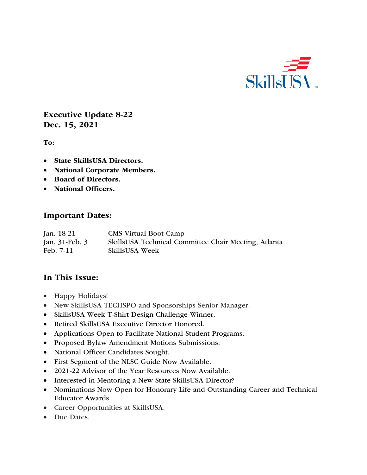

Executive Update 8-22 Dec. 15, 2021

To:

- State SkillsUSA Directors.
- National Corporate Members.
- Board of Directors.
- National Officers.

#### Important Dates:

| Jan. 18-21     | <b>CMS</b> Virtual Boot Camp                         |
|----------------|------------------------------------------------------|
| Jan. 31-Feb. 3 | SkillsUSA Technical Committee Chair Meeting, Atlanta |
| Feb. 7-11      | <b>SkillsUSA Week</b>                                |

#### In This Issue:

- Happy Holidays!
- New SkillsUSA TECHSPO and Sponsorships Senior Manager.
- SkillsUSA Week T-Shirt Design Challenge Winner.
- Retired SkillsUSA Executive Director Honored.
- Applications Open to Facilitate National Student Programs.
- Proposed Bylaw Amendment Motions Submissions.
- National Officer Candidates Sought.
- First Segment of the NLSC Guide Now Available.
- 2021-22 Advisor of the Year Resources Now Available.
- Interested in Mentoring a New State SkillsUSA Director?
- Nominations Now Open for Honorary Life and Outstanding Career and Technical Educator Awards.
- Career Opportunities at SkillsUSA.
- Due Dates.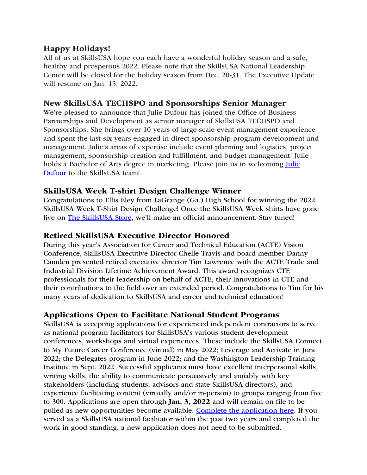## Happy Holidays!

All of us at SkillsUSA hope you each have a wonderful holiday season and a safe, healthy and prosperous 2022. Please note that the SkillsUSA National Leadership Center will be closed for the holiday season from Dec. 20-31. The Executive Update will resume on Jan. 15, 2022.

## New SkillsUSA TECHSPO and Sponsorships Senior Manager

We're pleased to announce that Julie Dufour has joined the Office of Business Partnerships and Development as senior manager of SkillsUSA TECHSPO and Sponsorships. She brings over 10 years of large-scale event management experience and spent the last six years engaged in direct sponsorship program development and management. Julie's areas of expertise include event planning and logistics, project management, sponsorship creation and fulfillment, and budget management. Julie holds a Bachelor of Arts degree in marketing. Please join us in welcoming *Julie* Dufour to the SkillsUSA team!

## SkillsUSA Week T-shirt Design Challenge Winner

Congratulations to Ellis Eley from LaGrange (Ga.) High School for winning the 2022 SkillsUSA Week T-Shirt Design Challenge! Once the SkillsUSA Week shirts have gone live on The SkillsUSA Store, we'll make an official announcement. Stay tuned!

#### Retired SkillsUSA Executive Director Honored

During this year's Association for Career and Technical Education (ACTE) Vision Conference, SkillsUSA Executive Director Chelle Travis and board member Danny Camden presented retired executive director Tim Lawrence with the ACTE Trade and Industrial Division Lifetime Achievement Award. This award recognizes CTE professionals for their leadership on behalf of ACTE, their innovations in CTE and their contributions to the field over an extended period. Congratulations to Tim for his many years of dedication to SkillsUSA and career and technical education!

#### Applications Open to Facilitate National Student Programs

SkillsUSA is accepting applications for experienced independent contractors to serve as national program facilitators for SkillsUSA's various student development conferences, workshops and virtual experiences. These include the SkillsUSA Connect to My Future Career Conference (virtual) in May 2022; Leverage and Activate in June 2022; the Delegates program in June 2022; and the Washington Leadership Training Institute in Sept. 2022. Successful applicants must have excellent interpersonal skills, writing skills, the ability to communicate persuasively and amiably with key stakeholders (including students, advisors and state SkillsUSA directors), and experience facilitating content (virtually and/or in-person) to groups ranging from five to 300. Applications are open through Jan. 3, 2022 and will remain on file to be pulled as new opportunities become available. Complete the application here. If you served as a SkillsUSA national facilitator within the past two years and completed the work in good standing, a new application does not need to be submitted.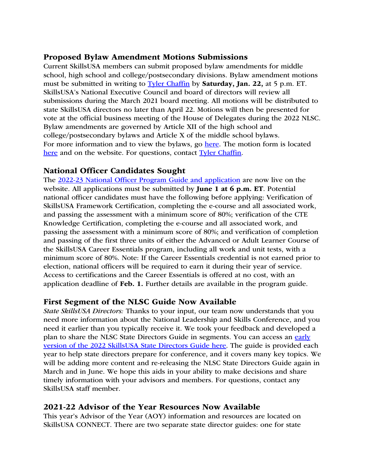### Proposed Bylaw Amendment Motions Submissions

Current SkillsUSA members can submit proposed bylaw amendments for middle school, high school and college/postsecondary divisions. Bylaw amendment motions must be submitted in writing to Tyler Chaffin by Saturday, Jan. 22, at 5 p.m. ET. SkillsUSA's National Executive Council and board of directors will review all submissions during the March 2021 board meeting. All motions will be distributed to state SkillsUSA directors no later than April 22. Motions will then be presented for vote at the official business meeting of the House of Delegates during the 2022 NLSC. Bylaw amendments are governed by Article XII of the high school and college/postsecondary bylaws and Article X of the middle school bylaws. For more information and to view the bylaws, go here. The motion form is located here and on the website. For questions, contact Tyler Chaffin.

## National Officer Candidates Sought

The 2022-23 National Officer Program Guide and application are now live on the website. All applications must be submitted by **June 1 at 6 p.m. ET**. Potential national officer candidates must have the following before applying: Verification of SkillsUSA Framework Certification, completing the e-course and all associated work, and passing the assessment with a minimum score of 80%; verification of the CTE Knowledge Certification, completing the e-course and all associated work, and passing the assessment with a minimum score of 80%; and verification of completion and passing of the first three units of either the Advanced or Adult Learner Course of the SkillsUSA Career Essentials program, including all work and unit tests, with a minimum score of 80%. Note: If the Career Essentials credential is not earned prior to election, national officers will be required to earn it during their year of service. Access to certifications and the Career Essentials is offered at no cost, with an application deadline of Feb. 1. Further details are available in the program guide.

# First Segment of the NLSC Guide Now Available

*State SkillsUSA Directors:* Thanks to your input, our team now understands that you need more information about the National Leadership and Skills Conference, and you need it earlier than you typically receive it. We took your feedback and developed a plan to share the NLSC State Directors Guide in segments. You can access an early version of the 2022 SkillsUSA State Directors Guide here. The guide is provided each year to help state directors prepare for conference, and it covers many key topics. We will be adding more content and re-releasing the NLSC State Directors Guide again in March and in June. We hope this aids in your ability to make decisions and share timely information with your advisors and members. For questions, contact any SkillsUSA staff member.

# 2021-22 Advisor of the Year Resources Now Available

This year's Advisor of the Year (AOY) information and resources are located on SkillsUSA CONNECT. There are two separate state director guides: one for state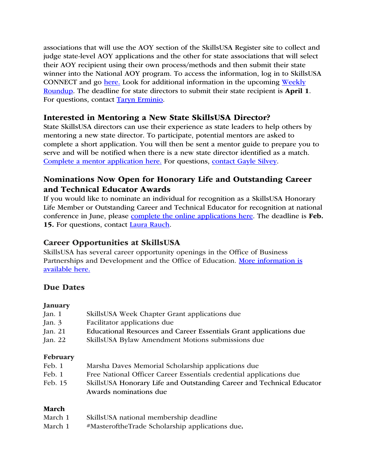associations that will use the AOY section of the SkillsUSA Register site to collect and judge state-level AOY applications and the other for state associations that will select their AOY recipient using their own process/methods and then submit their state winner into the National AOY program. To access the information, log in to SkillsUSA CONNECT and go here. Look for additional information in the upcoming Weekly Roundup. The deadline for state directors to submit their state recipient is April 1. For questions, contact Taryn Erminio.

#### Interested in Mentoring a New State SkillsUSA Director?

State SkillsUSA directors can use their experience as state leaders to help others by mentoring a new state director. To participate, potential mentors are asked to complete a short application. You will then be sent a mentor guide to prepare you to serve and will be notified when there is a new state director identified as a match. Complete a mentor application here. For questions, contact Gayle Silvey.

## Nominations Now Open for Honorary Life and Outstanding Career and Technical Educator Awards

If you would like to nominate an individual for recognition as a SkillsUSA Honorary Life Member or Outstanding Career and Technical Educator for recognition at national conference in June, please complete the online applications here. The deadline is Feb. 15. For questions, contact Laura Rauch.

#### Career Opportunities at SkillsUSA

SkillsUSA has several career opportunity openings in the Office of Business Partnerships and Development and the Office of Education. More information is available here.

# Due Dates

#### January

| Jan. $1$  | SkillsUSA Week Chapter Grant applications due                      |
|-----------|--------------------------------------------------------------------|
| Jan. 3    | Facilitator applications due                                       |
| Jan. 21   | Educational Resources and Career Essentials Grant applications due |
| Jan. $22$ | SkillsUSA Bylaw Amendment Motions submissions due                  |
| February  |                                                                    |
| Feb. 1    | Marsha Daves Memorial Scholarship applications due                 |

- Feb. 1 Free National Officer Career Essentials credential applications due
- Feb. 15 SkillsUSA Honorary Life and Outstanding Career and Technical Educator Awards nominations due

#### March

- March 1 SkillsUSA national membership deadline
- March 1 #MasteroftheTrade Scholarship applications due.